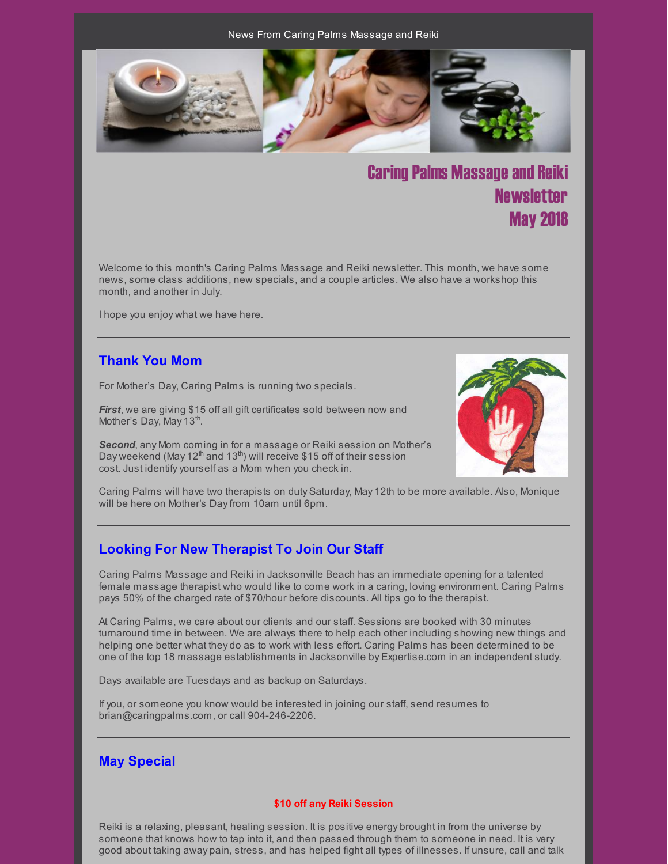News From Caring Palms Massage and Reiki



# **Caring Palms Massage and Reiki Newsletter** May 2018

Welcome to this month's Caring Palms Massage and Reiki newsletter. This month, we have some news, some class additions, new specials, and a couple articles. We also have a workshop this month, and another in July.

I hope you enjoy what we have here.

### **Thank You Mom**

For Mother's Day, Caring Palms is running two specials.

**First**, we are giving \$15 off all gift certificates sold between now and Mother's Day, May 13<sup>th</sup>.

*Second*, any Mom coming in for a massage or Reiki session on Mother's Day weekend (May 12<sup>th</sup> and 13<sup>th</sup>) will receive \$15 off of their session cost. Just identifyyourself as a Mom when you check in.



Caring Palms will have two therapists on duty Saturday, May 12th to be more available. Also, Monique will be here on Mother's Dayfrom 10am until 6pm.

# **Looking For New Therapist To Join Our Staff**

Caring Palms Massage and Reiki in Jacksonville Beach has an immediate opening for a talented female massage therapist who would like to come work in a caring, loving environment. Caring Palms pays 50% of the charged rate of \$70/hour before discounts. All tips go to the therapist.

At Caring Palms, we care about our clients and our staff. Sessions are booked with 30 minutes turnaround time in between. We are always there to help each other including showing new things and helping one better what they do as to work with less effort. Caring Palms has been determined to be one of the top 18 massage establishments in Jacksonville by Expertise.com in an independent study.

Days available are Tuesdays and as backup on Saturdays.

If you, or someone you know would be interested in joining our staff, send resumes to brian@caringpalms.com, or call 904-246-2206.

#### **May Special**

#### **\$10 off any Reiki Session**

Reiki is a relaxing, pleasant, healing session. It is positive energy brought in from the universe by someone that knows how to tap into it, and then passed through them to someone in need. It is very good about taking away pain, stress, and has helped fight all types of illnesses. If unsure, call and talk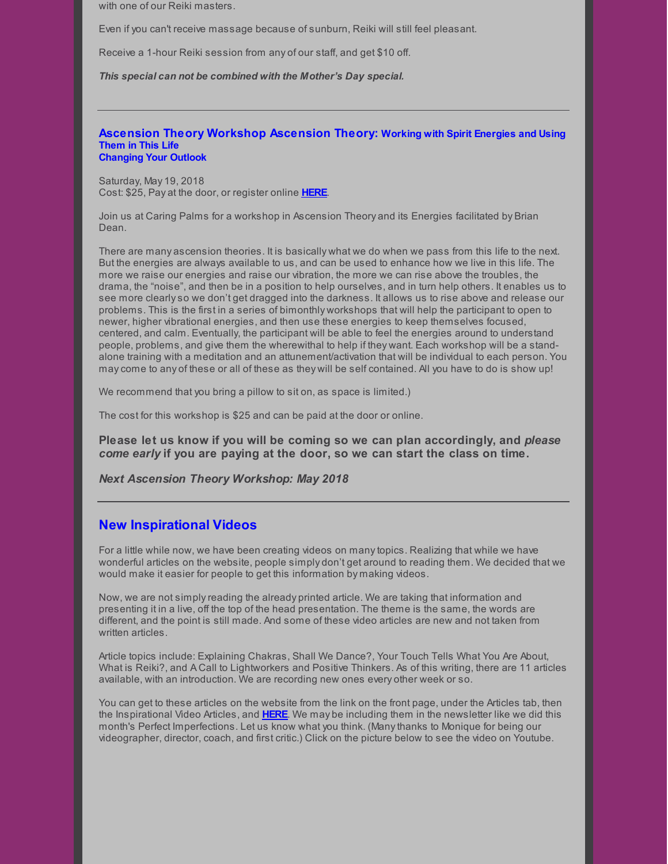with one of our Reiki masters.

Even if you can't receive massage because of sunburn, Reiki will still feel pleasant.

Receive a 1-hour Reiki session from any of our staff, and get \$10 off.

*This special can not be combined with the Mother's Day special.*

#### **Ascension Theory Workshop Ascension Theory: Working with Spirit Energies and Using Them in This Life Changing Your Outlook**

Saturday, May 19, 2018 Cost: \$25, Pay at the door, or register online **[HERE](https://www.universe.com/events/ascension-theory-surrounding-yourself-in-the-light-title-to-be-determined-tickets-Z40F28)**.

Join us at Caring Palms for a workshop in Ascension Theory and its Energies facilitated by Brian Dean.

There are many ascension theories. It is basically what we do when we pass from this life to the next. But the energies are always available to us, and can be used to enhance how we live in this life. The more we raise our energies and raise our vibration, the more we can rise above the troubles, the drama, the "noise", and then be in a position to help ourselves, and in turn help others. It enables us to see more clearlyso we don't get dragged into the darkness. It allows us to rise above and release our problems. This is the first in a series of bimonthly workshops that will help the participant to open to newer, higher vibrational energies, and then use these energies to keep themselves focused, centered, and calm. Eventually, the participant will be able to feel the energies around to understand people, problems, and give them the wherewithal to help if they want. Each workshop will be a standalone training with a meditation and an attunement/activation that will be individual to each person. You maycome to any of these or all of these as they will be self contained. All you have to do is show up!

We recommend that you bring a pillow to sit on, as space is limited.)

The cost for this workshop is \$25 and can be paid at the door or online.

**Please let us know if you will be coming so we can plan accordingly, and** *please come early* **if you are paying at the door, so we can start the class on time.**

*Next Ascension Theory Workshop: May 2018*

#### **New Inspirational Videos**

For a little while now, we have been creating videos on manytopics. Realizing that while we have wonderful articles on the website, people simply don't get around to reading them. We decided that we would make it easier for people to get this information by making videos.

Now, we are not simplyreading the already printed article. We are taking that information and presenting it in a live, off the top of the head presentation. The theme is the same, the words are different, and the point is still made. And some of these video articles are new and not taken from written articles.

Article topics include: Explaining Chakras, Shall We Dance?, Your Touch Tells What You Are About, What is Reiki?, and A Call to Lightworkers and Positive Thinkers. As of this writing, there are 11 articles available, with an introduction. We are recording new ones every other week or so.

You can get to these articles on the website from the link on the front page, under the Articles tab, then the Inspirational Video Articles, and **[HERE](http://caringpalms.com/video_introduction.html)**. We may be including them in the newsletter like we did this month's Perfect Imperfections. Let us know what you think. (Manythanks to Monique for being our videographer, director, coach, and first critic.) Click on the picture below to see the video on Youtube.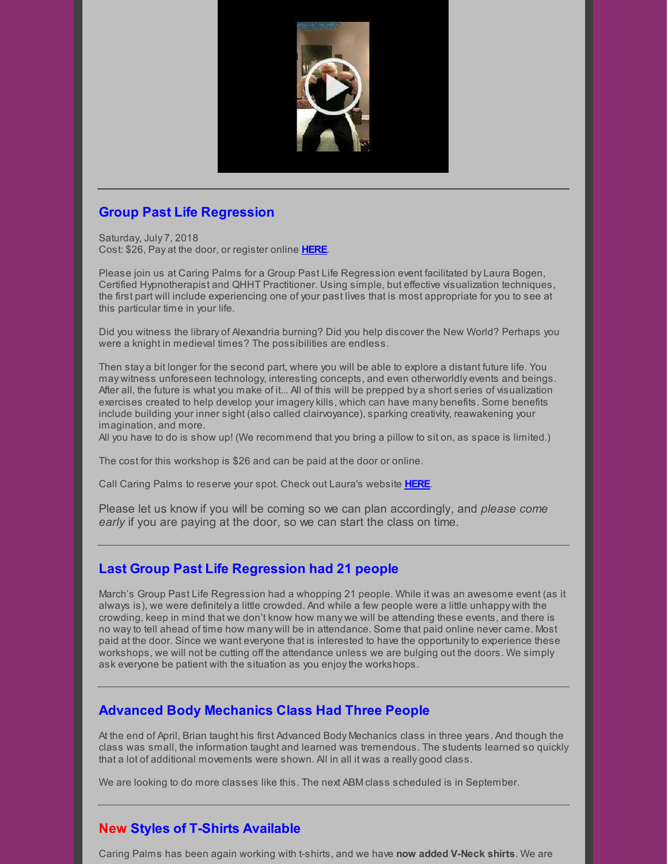

# **Group Past Life Regression**

Saturday, July 7, 2018 Cost: \$26, Pay at the door, or register online **[HERE](https://www.universe.com/events/group-past-life-regression-july-2018-tickets-J8W7VK)**.

Please join us at Caring Palms for a Group Past Life Regression event facilitated by Laura Bogen, Certified Hypnotherapist and QHHT Practitioner. Using simple, but effective visualization techniques, the first part will include experiencing one of your past lives that is most appropriate for you to see at this particular time in your life.

Did you witness the library of Alexandria burning? Did you help discover the New World? Perhaps you were a knight in medieval times? The possibilities are endless.

Then stay a bit longer for the second part, where you will be able to explore a distant future life. You may witness unforeseen technology, interesting concepts, and even otherworldly events and beings. After all, the future is what you make of it... All of this will be prepped by a short series of visualization exercises created to help develop your imagerykills, which can have many benefits. Some benefits include building your inner sight (also called clairvoyance), sparking creativity, reawakening your imagination, and more.

All you have to do is show up! (We recommend that you bring a pillow to sit on, as space is limited.)

The cost for this workshop is \$26 and can be paid at the door or online.

Call Caring Palms to reserve your spot. Check out Laura's website **[HERE](http://www.soultrekexperience.com/)**.

Please let us know if you will be coming so we can plan accordingly, and *please come early* if you are paying at the door, so we can start the class on time.

# **Last Group Past Life Regression had 21 people**

March's Group Past Life Regression had a whopping 21 people. While it was an awesome event (as it always is), we were definitely a little crowded. And while a few people were a little unhappy with the crowding, keep in mind that we don't know how many we will be attending these events, and there is no wayto tell ahead of time how many will be in attendance. Some that paid online never came. Most paid at the door. Since we want everyone that is interested to have the opportunity to experience these workshops, we will not be cutting off the attendance unless we are bulging out the doors. We simply ask everyone be patient with the situation as you enjoythe workshops.

#### **Advanced Body Mechanics Class Had Three People**

At the end of April, Brian taught his first Advanced Body Mechanics class in three years. And though the class was small, the information taught and learned was tremendous. The students learned so quickly that a lot of additional movements were shown. All in all it was a really good class.

We are looking to do more classes like this. The next ABM class scheduled is in September.

# **New Styles of T-Shirts Available**

Caring Palms has been again working with t-shirts, and we have **now added V-Neck shirts**. We are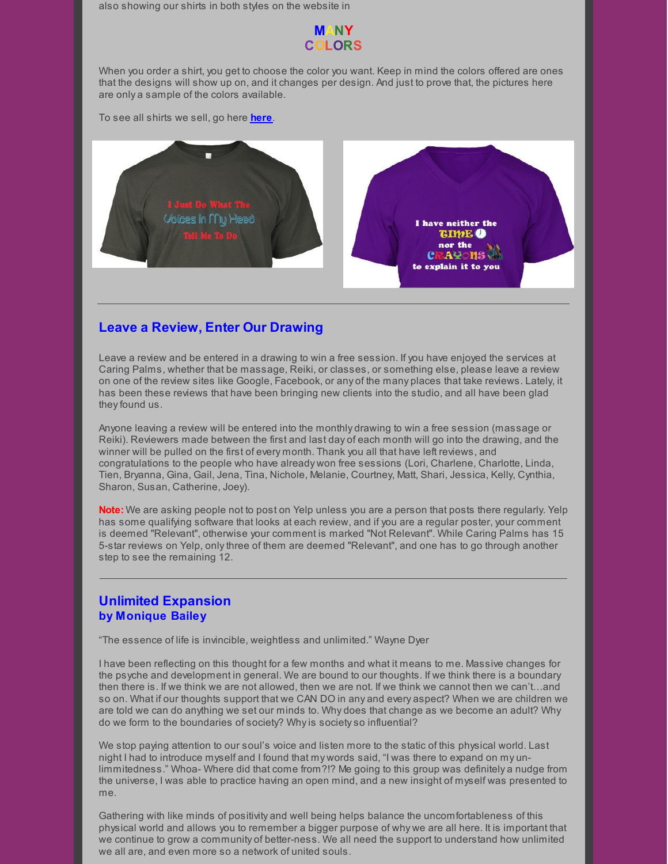also showing our shirts in both styles on the website in

#### **MANY COLORS**

When you order a shirt, you get to choose the color you want. Keep in mind the colors offered are ones that the designs will show up on, and it changes per design. And just to prove that, the pictures here are only a sample of the colors available.

To see all shirts we sell, go here **[here](http://www.caringpalms.com/tshirts.html)**.



#### **Leave a Review, Enter Our Drawing**

Leave a review and be entered in a drawing to win a free session. If you have enjoyed the services at Caring Palms, whether that be massage, Reiki, or classes, or something else, please leave a review on one of the review sites like Google, Facebook, or any of the many places that take reviews. Lately, it has been these reviews that have been bringing new clients into the studio, and all have been glad they found us.

Anyone leaving a review will be entered into the monthly drawing to win a free session (massage or Reiki). Reviewers made between the first and last day of each month will go into the drawing, and the winner will be pulled on the first of every month. Thank you all that have left reviews, and congratulations to the people who have already won free sessions (Lori, Charlene, Charlotte, Linda, Tien, Bryanna, Gina, Gail, Jena, Tina, Nichole, Melanie, Courtney, Matt, Shari, Jessica, Kelly, Cynthia, Sharon, Susan, Catherine, Joey).

**Note:** We are asking people not to post on Yelp unless you are a person that posts there regularly. Yelp has some qualifying software that looks at each review, and if you are a regular poster, your comment is deemed "Relevant", otherwise your comment is marked "Not Relevant". While Caring Palms has 15 5-star reviews on Yelp, onlythree of them are deemed "Relevant", and one has to go through another step to see the remaining 12.

#### **Unlimited Expansion by Monique Bailey**

"The essence of life is invincible, weightless and unlimited." Wayne Dyer

I have been reflecting on this thought for a few months and what it means to me. Massive changes for the psyche and development in general. We are bound to our thoughts. If we think there is a boundary then there is. If we think we are not allowed, then we are not. If we think we cannot then we can't…and so on. What if our thoughts support that we CAN DO in any and every aspect? When we are children we are told we can do anything we set our minds to. Why does that change as we become an adult? Why do we form to the boundaries of society? Whyis societyso influential?

We stop paying attention to our soul's voice and listen more to the static of this physical world. Last night I had to introduce myself and I found that my words said, "I was there to expand on my unlimmitedness." Whoa- Where did that come from?!? Me going to this group was definitely a nudge from the universe, I was able to practice having an open mind, and a new insight of myself was presented to me.

Gathering with like minds of positivity and well being helps balance the uncomfortableness of this physical world and allows you to remember a bigger purpose of why we are all here. It is important that we continue to grow a community of better-ness. We all need the support to understand how unlimited we all are, and even more so a network of united souls.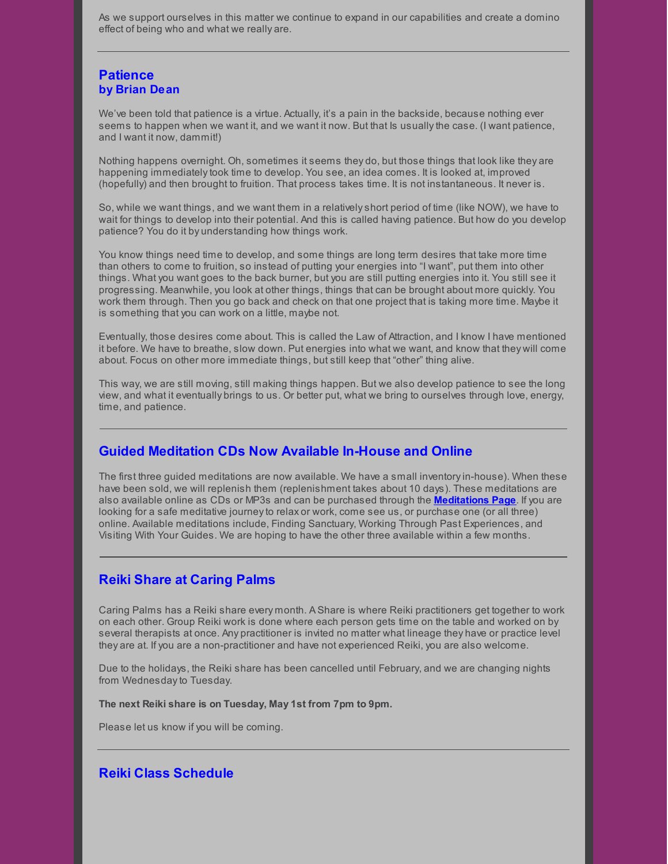As we support ourselves in this matter we continue to expand in our capabilities and create a domino effect of being who and what we really are.

### **Patience by Brian Dean**

We've been told that patience is a virtue. Actually, it's a pain in the backside, because nothing ever seems to happen when we want it, and we want it now. But that Is usuallythe case. (I want patience, and I want it now, dammit!)

Nothing happens overnight. Oh, sometimes it seems they do, but those things that look like they are happening immediatelytook time to develop. You see, an idea comes. It is looked at, improved (hopefully) and then brought to fruition. That process takes time. It is not instantaneous. It never is.

So, while we want things, and we want them in a relativelyshort period of time (like NOW), we have to wait for things to develop into their potential. And this is called having patience. But how do you develop patience? You do it by understanding how things work.

You know things need time to develop, and some things are long term desires that take more time than others to come to fruition, so instead of putting your energies into "I want", put them into other things. What you want goes to the back burner, but you are still putting energies into it. You still see it progressing. Meanwhile, you look at other things, things that can be brought about more quickly. You work them through. Then you go back and check on that one project that is taking more time. Maybe it is something that you can work on a little, maybe not.

Eventually, those desires come about. This is called the Law of Attraction, and I know I have mentioned it before. We have to breathe, slow down. Put energies into what we want, and know that they will come about. Focus on other more immediate things, but still keep that "other" thing alive.

This way, we are still moving, still making things happen. But we also develop patience to see the long view, and what it eventually brings to us. Or better put, what we bring to ourselves through love, energy, time, and patience.

#### **Guided Meditation CDs Now Available In-House and Online**

The first three guided meditations are now available. We have a small inventoryin-house). When these have been sold, we will replenish them (replenishment takes about 10 days). These meditations are also available online as CDs or MP3s and can be purchased through the **[Meditations](http://caringpalms.com/meditations.html) Page**. If you are looking for a safe meditative journeyto relax or work, come see us, or purchase one (or all three) online. Available meditations include, Finding Sanctuary, Working Through Past Experiences, and Visiting With Your Guides. We are hoping to have the other three available within a few months.

# **Reiki Share at Caring Palms**

Caring Palms has a Reiki share every month. A Share is where Reiki practitioners get together to work on each other. Group Reiki work is done where each person gets time on the table and worked on by several therapists at once. Any practitioner is invited no matter what lineage they have or practice level they are at. If you are a non-practitioner and have not experienced Reiki, you are also welcome.

Due to the holidays, the Reiki share has been cancelled until February, and we are changing nights from Wednesday to Tuesday.

**The next Reiki share is on Tuesday, May 1st from 7pm to 9pm.**

Please let us know if you will be coming.

#### **Reiki Class Schedule**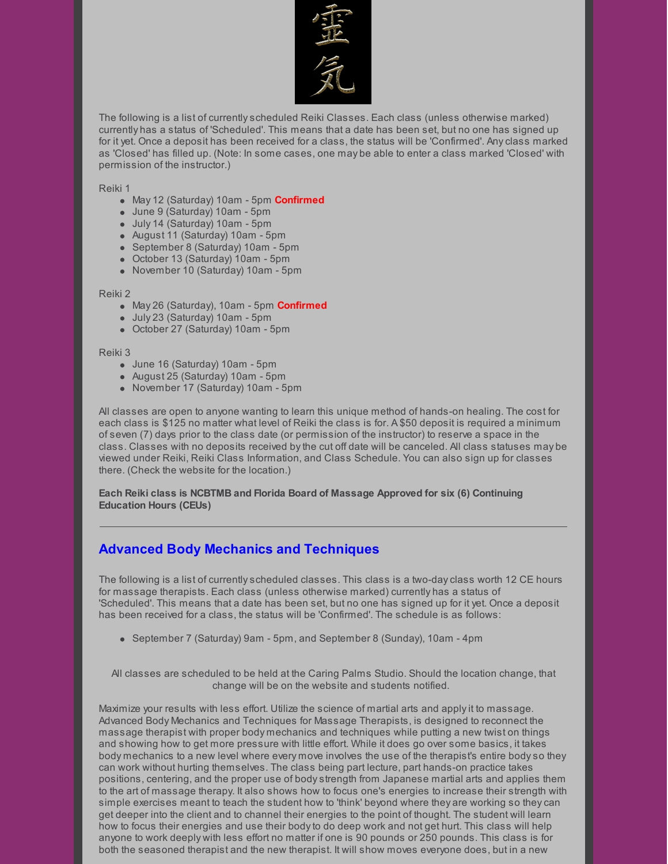

The following is a list of currentlyscheduled Reiki Classes. Each class (unless otherwise marked) currently has a status of 'Scheduled'. This means that a date has been set, but no one has signed up for it yet. Once a deposit has been received for a class, the status will be 'Confirmed'. Anyclass marked as 'Closed' has filled up. (Note: In some cases, one may be able to enter a class marked 'Closed' with permission of the instructor.)

Reiki 1

- May 12 (Saturday) 10am 5pm **Confirmed**
- June 9 (Saturday) 10am 5pm
- July 14 (Saturday) 10am 5pm
- August 11 (Saturday) 10am 5pm
- September 8 (Saturday) 10am 5pm
- October 13 (Saturday) 10am 5pm
- November 10 (Saturday) 10am 5pm

#### Reiki 2

- May 26 (Saturday), 10am 5pm **Confirmed**
- July 23 (Saturday) 10am 5pm
- October 27 (Saturday) 10am 5pm

#### Reiki 3

- June 16 (Saturday) 10am 5pm
- August 25 (Saturday) 10am 5pm
- November 17 (Saturday) 10am 5pm

All classes are open to anyone wanting to learn this unique method of hands-on healing. The cost for each class is \$125 no matter what level of Reiki the class is for. A \$50 deposit is required a minimum of seven (7) days prior to the class date (or permission of the instructor) to reserve a space in the class. Classes with no deposits received bythe cut off date will be canceled. All class statuses may be viewed under Reiki, Reiki Class Information, and Class Schedule. You can also sign up for classes there. (Check the website for the location.)

**Each Reiki class is NCBTMB and Florida Board of Massage Approved for six (6) Continuing Education Hours (CEUs)**

# **Advanced Body Mechanics and Techniques**

The following is a list of currentlyscheduled classes. This class is a two-dayclass worth 12 CE hours for massage therapists. Each class (unless otherwise marked) currently has a status of 'Scheduled'. This means that a date has been set, but no one has signed up for it yet. Once a deposit has been received for a class, the status will be 'Confirmed'. The schedule is as follows:

• September 7 (Saturday) 9am - 5pm, and September 8 (Sunday), 10am - 4pm

All classes are scheduled to be held at the Caring Palms Studio. Should the location change, that change will be on the website and students notified.

Maximize your results with less effort. Utilize the science of martial arts and applyit to massage. Advanced Body Mechanics and Techniques for Massage Therapists, is designed to reconnect the massage therapist with proper body mechanics and techniques while putting a new twist on things and showing how to get more pressure with little effort. While it does go over some basics, it takes body mechanics to a new level where every move involves the use of the therapist's entire bodyso they can work without hurting themselves. The class being part lecture, part hands-on practice takes positions, centering, and the proper use of bodystrength from Japanese martial arts and applies them to the art of massage therapy. It also shows how to focus one's energies to increase their strength with simple exercises meant to teach the student how to 'think' beyond where they are working so theycan get deeper into the client and to channel their energies to the point of thought. The student will learn how to focus their energies and use their bodyto do deep work and not get hurt. This class will help anyone to work deeply with less effort no matter if one is 90 pounds or 250 pounds. This class is for both the seasoned therapist and the new therapist. It will show moves everyone does, but in a new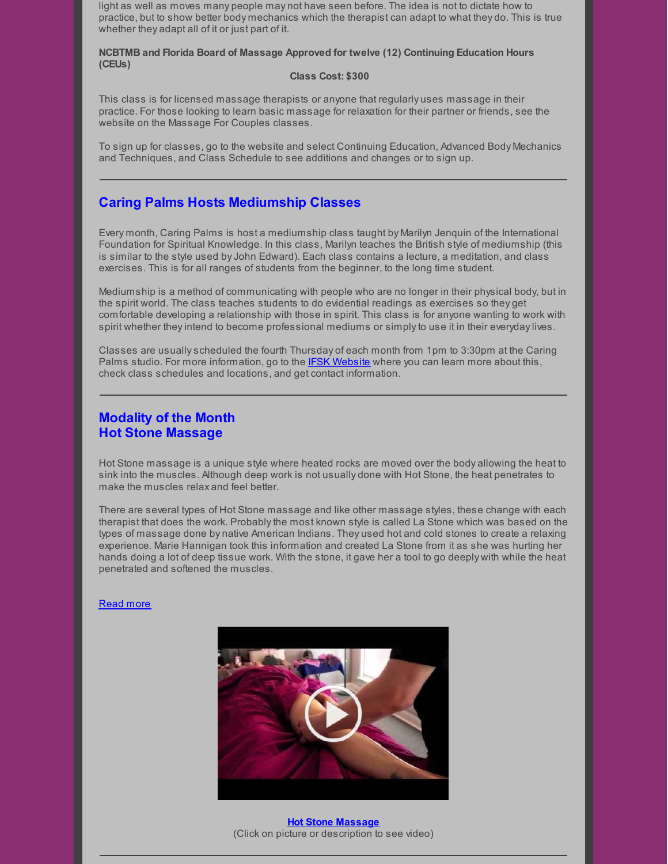light as well as moves many people may not have seen before. The idea is not to dictate how to practice, but to show better body mechanics which the therapist can adapt to what they do. This is true whether they adapt all of it or just part of it.

#### **NCBTMB and Florida Board of Massage Approved for twelve (12) Continuing Education Hours (CEUs)**

#### **Class Cost: \$300**

This class is for licensed massage therapists or anyone that regularly uses massage in their practice. For those looking to learn basic massage for relaxation for their partner or friends, see the website on the Massage For Couples classes.

To sign up for classes, go to the website and select Continuing Education, Advanced Body Mechanics and Techniques, and Class Schedule to see additions and changes or to sign up.

### **Caring Palms Hosts Mediumship Classes**

Every month, Caring Palms is host a mediumship class taught by Marilyn Jenquin of the International Foundation for Spiritual Knowledge. In this class, Marilyn teaches the British style of mediumship (this is similar to the style used byJohn Edward). Each class contains a lecture, a meditation, and class exercises. This is for all ranges of students from the beginner, to the long time student.

Mediumship is a method of communicating with people who are no longer in their physical body, but in the spirit world. The class teaches students to do evidential readings as exercises so they get comfortable developing a relationship with those in spirit. This class is for anyone wanting to work with spirit whether theyintend to become professional mediums or simplyto use it in their everydaylives.

Classes are usuallyscheduled the fourth Thursday of each month from 1pm to 3:30pm at the Caring Palms studio. For more information, go to the **IFSK [Website](http://www.ifsk.org/)** where you can learn more about this, check class schedules and locations, and get contact information.

### **Modality of the Month Hot Stone Massage**

Hot Stone massage is a unique style where heated rocks are moved over the body allowing the heat to sink into the muscles. Although deep work is not usually done with Hot Stone, the heat penetrates to make the muscles relax and feel better.

There are several types of Hot Stone massage and like other massage styles, these change with each therapist that does the work. Probablythe most known style is called La Stone which was based on the types of massage done by native American Indians. They used hot and cold stones to create a relaxing experience. Marie Hannigan took this information and created La Stone from it as she was hurting her hands doing a lot of deep tissue work. With the stone, it gave her a tool to go deeply with while the heat penetrated and softened the muscles.

#### [Read](http://caringpalms.com/article_hotstone.html) more



**Hot Stone [Massage](https://www.youtube.com/watch?v=r-yy3iT28F4)** (Click on picture or description to see video)